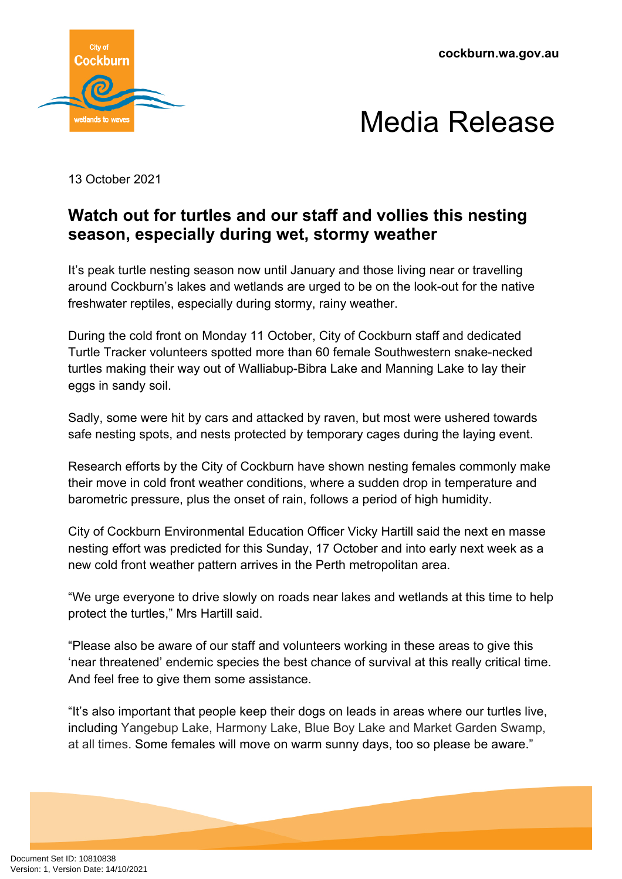



13 October 2021

## **Watch out for turtles and our staff and vollies this nesting season, especially during wet, stormy weather**

It's peak turtle nesting season now until January and those living near or travelling around Cockburn's lakes and wetlands are urged to be on the look-out for the native freshwater reptiles, especially during stormy, rainy weather.

During the cold front on Monday 11 October, City of Cockburn staff and dedicated Turtle Tracker volunteers spotted more than 60 female Southwestern snake-necked turtles making their way out of Walliabup-Bibra Lake and Manning Lake to lay their eggs in sandy soil.

Sadly, some were hit by cars and attacked by raven, but most were ushered towards safe nesting spots, and nests protected by temporary cages during the laying event.

Research efforts by the City of Cockburn have shown nesting females commonly make their move in cold front weather conditions, where a sudden drop in temperature and barometric pressure, plus the onset of rain, follows a period of high humidity.

City of Cockburn Environmental Education Officer Vicky Hartill said the next en masse nesting effort was predicted for this Sunday, 17 October and into early next week as a new cold front weather pattern arrives in the Perth metropolitan area.

"We urge everyone to drive slowly on roads near lakes and wetlands at this time to help protect the turtles," Mrs Hartill said.

"Please also be aware of our staff and volunteers working in these areas to give this 'near threatened' endemic species the best chance of survival at this really critical time. And feel free to give them some assistance.

"It's also important that people keep their dogs on leads in areas where our turtles live, including Yangebup Lake, Harmony Lake, Blue Boy Lake and Market Garden Swamp, at all times. Some females will move on warm sunny days, too so please be aware."

Document Set ID: 10810838<br>Version: 1, Version Date: 14/10/2021